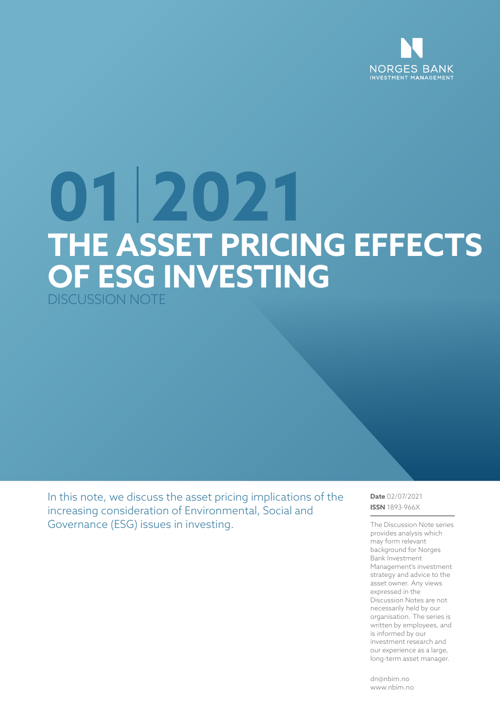

# **01 2021 THE ASSET PRICING EFFECTS OF ESG INVESTING** DISCUSSION NOTE

In this note, we discuss the asset pricing implications of the increasing consideration of Environmental, Social and Governance (ESG) issues in investing.

**Date** 02/07/2021 **ISSN** 1893-966X

The Discussion Note series provides analysis which may form relevant background for Norges Bank Investment Management's investment strategy and advice to the asset owner. Any views expressed in the Discussion Notes are not necessarily held by our organisation. The series is written by employees, and is informed by our investment research and our experience as a large, long-term asset manager.

dn@nbim.no www.nbim.no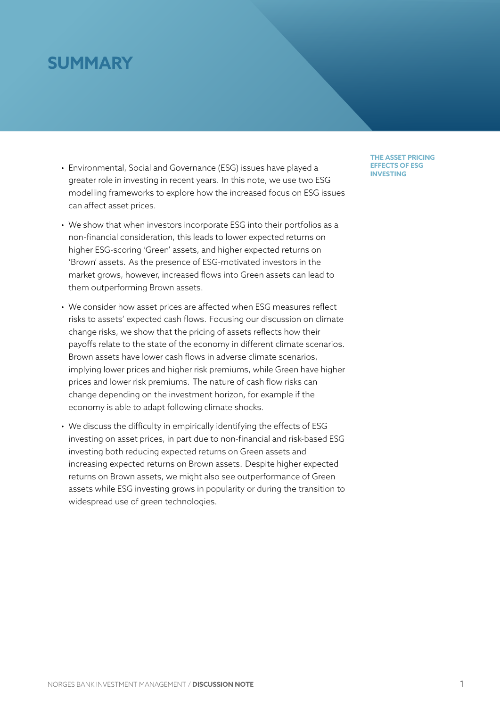# **SUMMARY**

- Environmental, Social and Governance (ESG) issues have played a greater role in investing in recent years. In this note, we use two ESG modelling frameworks to explore how the increased focus on ESG issues can affect asset prices.
- We show that when investors incorporate ESG into their portfolios as a non-financial consideration, this leads to lower expected returns on higher ESG-scoring 'Green' assets, and higher expected returns on 'Brown' assets. As the presence of ESG-motivated investors in the market grows, however, increased flows into Green assets can lead to them outperforming Brown assets.
- We consider how asset prices are affected when ESG measures reflect risks to assets' expected cash flows. Focusing our discussion on climate change risks, we show that the pricing of assets reflects how their payoffs relate to the state of the economy in different climate scenarios. Brown assets have lower cash flows in adverse climate scenarios, implying lower prices and higher risk premiums, while Green have higher prices and lower risk premiums. The nature of cash flow risks can change depending on the investment horizon, for example if the economy is able to adapt following climate shocks.
- We discuss the difficulty in empirically identifying the effects of ESG investing on asset prices, in part due to non-financial and risk-based ESG investing both reducing expected returns on Green assets and increasing expected returns on Brown assets. Despite higher expected returns on Brown assets, we might also see outperformance of Green assets while ESG investing grows in popularity or during the transition to widespread use of green technologies.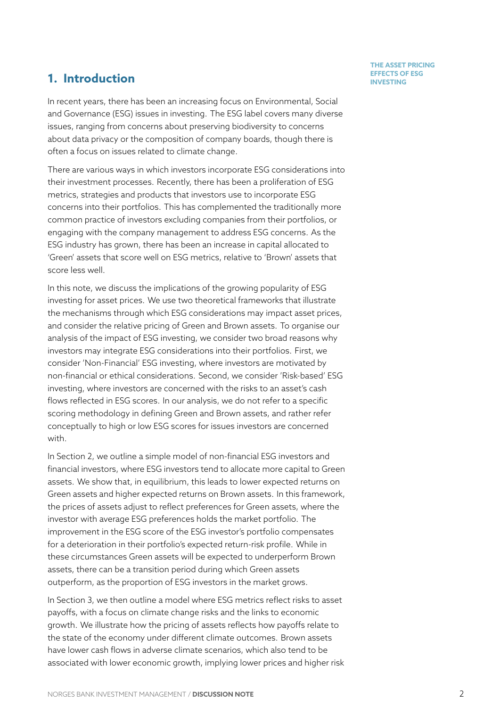### **1.** Introduction **Integrals of EFFECTS OF EXAMPLE 2.1 <b>INVESTING**

In recent years, there has been an increasing focus on Environmental, Social and Governance (ESG) issues in investing. The ESG label covers many diverse issues, ranging from concerns about preserving biodiversity to concerns about data privacy or the composition of company boards, though there is often a focus on issues related to climate change.

There are various ways in which investors incorporate ESG considerations into their investment processes. Recently, there has been a proliferation of ESG metrics, strategies and products that investors use to incorporate ESG concerns into their portfolios. This has complemented the traditionally more common practice of investors excluding companies from their portfolios, or engaging with the company management to address ESG concerns. As the ESG industry has grown, there has been an increase in capital allocated to 'Green' assets that score well on ESG metrics, relative to 'Brown' assets that score less well.

In this note, we discuss the implications of the growing popularity of ESG investing for asset prices. We use two theoretical frameworks that illustrate the mechanisms through which ESG considerations may impact asset prices, and consider the relative pricing of Green and Brown assets. To organise our analysis of the impact of ESG investing, we consider two broad reasons why investors may integrate ESG considerations into their portfolios. First, we consider 'Non-Financial' ESG investing, where investors are motivated by non-financial or ethical considerations. Second, we consider 'Risk-based' ESG investing, where investors are concerned with the risks to an asset's cash flows reflected in ESG scores. In our analysis, we do not refer to a specific scoring methodology in defining Green and Brown assets, and rather refer conceptually to high or low ESG scores for issues investors are concerned with.

In Section 2, we outline a simple model of non-financial ESG investors and financial investors, where ESG investors tend to allocate more capital to Green assets. We show that, in equilibrium, this leads to lower expected returns on Green ass[et](#page-3-0)s and higher expected returns on Brown assets. In this framework, the prices of assets adjust to reflect preferences for Green assets, where the investor with average ESG preferences holds the market portfolio. The improvement in the ESG score of the ESG investor's portfolio compensates for a deterioration in their portfolio's expected return-risk profile. While in these circumstances Green assets will be expected to underperform Brown assets, there can be a transition period during which Green assets outperform, as the proportion of ESG investors in the market grows.

In Section 3, we then outline a model where ESG metrics reflect risks to asset payoffs, with a focus on climate change risks and the links to economic growth. We illustrate how the pricing of assets reflects how payoffs relate to the state [of](#page-7-0) the economy under different climate outcomes. Brown assets have lower cash flows in adverse climate scenarios, which also tend to be associated with lower economic growth, implying lower prices and higher risk

# **THE ASSET PRICING**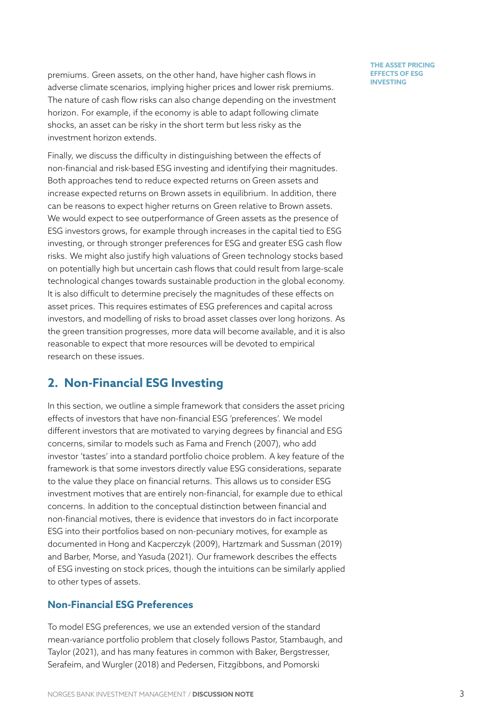premiums. Green assets, on the other hand, have higher cash flows in adverse climate scenarios, implying higher prices and lower risk premiums. The nature of cash flow risks can also change depending on the investment horizon. For example, if the economy is able to adapt following climate shocks, an asset can be risky in the short term but less risky as the investment horizon extends.

Finally, we discuss the difficulty in distinguishing between the effects of non-financial and risk-based ESG investing and identifying their magnitudes. Both approaches tend to reduce expected returns on Green assets and increase expected returns on Brown assets in equilibrium. In addition, there can be reasons to expect higher returns on Green relative to Brown assets. We would expect to see outperformance of Green assets as the presence of ESG investors grows, for example through increases in the capital tied to ESG investing, or through stronger preferences for ESG and greater ESG cash flow risks. We might also justify high valuations of Green technology stocks based on potentially high but uncertain cash flows that could result from large-scale technological changes towards sustainable production in the global economy. It is also difficult to determine precisely the magnitudes of these effects on asset prices. This requires estimates of ESG preferences and capital across investors, and modelling of risks to broad asset classes over long horizons. As the green transition progresses, more data will become available, and it is also reasonable to expect that more resources will be devoted to empirical research on these issues.

# **2. Non-Financial ESG Investing**

<span id="page-3-0"></span>In this section, we outline a simple framework that considers the asset pricing effects of investors that have non-financial ESG 'preferences'. We model different investors that are motivated to varying degrees by financial and ESG concerns, similar to models such as Fama and French (2007), who add investor 'tastes' into a standard portfolio choice problem. A key feature of the framework is that some investors directly value ESG considerations, separate to the value they place on financialr[eturns. This allows us to](#page-15-0) consider ESG investment motives that are entirely non-financial, for example due to ethical concerns. In addition to the conceptual distinction between financial and non-financial motives, there is evidence that investors do in fact incorporate ESG into their portfolios based on non-pecuniary motives, for example as documented in Hong and Kacperczyk (2009), Hartzmark and Sussman (2019) and Barber, Morse, and Yasuda (2021). Our framework describes the effects of ESG investing on stock prices, though the intuitions can be similarly applied to other types [of assets.](#page-16-0)

#### **No[n-Financial ESG Preferences](#page-15-1)**

To model ESG preferences, we use an extended version of the standard mean-variance portfolio problem that closely follows Pastor, Stambaugh, and Taylor (2021), and has many features in common with Baker, Bergstresser, Serafeim, and Wurgler (2018) and Pedersen, Fitzgibbons, and Pomorski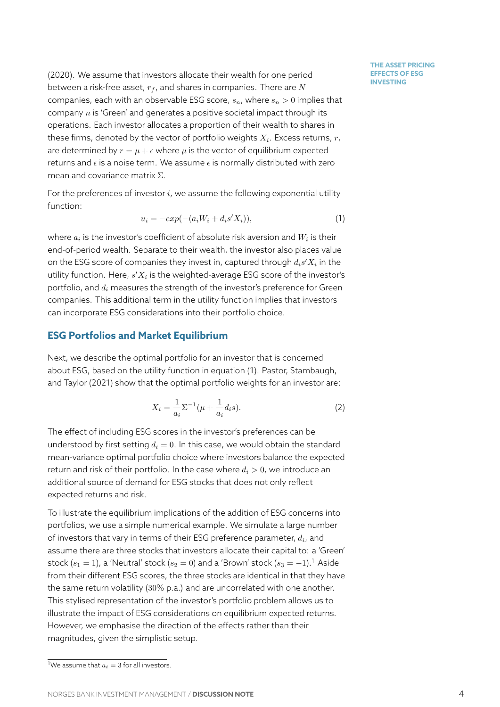(2020). We assume that investors allocate their wealth for one period between a risk-free asset, *r<sup>f</sup>* , and shares in companies. There are *N* companies, each with an observable ESG score, *sn*, where *s<sup>n</sup> >* 0 implies that [comp](#page-16-2)any *n* is 'Green' and generates a positive societal impact through its operations. Each investor allocates a proportion of their wealth to shares in these firms, denoted by the vector of portfolio weights *Xi*. Excess returns, *r*, are determined by  $r = \mu + \epsilon$  where  $\mu$  is the vector of equilibrium expected returns and *ϵ* is a noise term. We assume *ϵ* is normally distributed with zero mean and covariance matrix Σ.

For the preferences of investor *i*, we assume the following exponential utility function:

$$
u_i = -exp(-(a_iW_i + d_is'X_i)), \qquad (1)
$$

where  $a_i$  is the investor's coefficient of absolute risk aversion and  $W_i$  is their end-of-period wealth. Separate to their wealth, the investor also places value on the ESG score of companies they invest in, captured through *dis ′X<sup>i</sup>* in the utility function. Here,  $s^\prime X_i$  is the weighted-average ESG score of the investor's portfolio, and *d<sup>i</sup>* measures the strength of the investor's preference for Green companies. This additional term in the utility function implies that investors can incorporate ESG considerations into their portfolio choice.

#### **ESG Portfolios and Market Equilibrium**

Next, we describe the optimal portfolio for an investor that is concerned about ESG, based on the utility function in equation (1). Pastor, Stambaugh, and Taylor (2021) show that the optimal portfolio weights for an investor are:

$$
X_i = \frac{1}{a_i} \Sigma^{-1} (\mu + \frac{1}{a_i} d_i s). \tag{2}
$$

[The effect of incl](#page-16-1)uding ESG scores in the investor's preferences can be understood by first setting  $d_i = 0$ . In this case, we would obtain the standard mean-variance optimal portfolio choice where investors balance the expected return and risk of their portfolio. In the case where  $d_i > 0$ , we introduce an additional source of demand for ESG stocks that does not only reflect expected returns and risk.

To illustrate the equilibrium implications of the addition of ESG concerns into portfolios, we use a simple numerical example. We simulate a large number of investors that vary in terms of their ESG preference parameter, *d<sup>i</sup>* , and assume there are three stocks that investors allocate their capital to: a 'Green' stock  $(s_1 = 1)$ , a 'Neutral' stock  $(s_2 = 0)$  and a 'Brown' stock  $(s_3 = -1)$ .<sup>1</sup> Aside from their different ESG scores, the three stocks are identical in that they have the same return volatility (30% p.a.) and are uncorrelated with one another. This stylised representation of the investor's portfolio problem allow[s u](#page-4-0)s to illustrate the impact of ESG considerations on equilibrium expected returns. However, we emphasise the direction of the effects rather than their magnitudes, given the simplistic setup.

<span id="page-4-0"></span><sup>&</sup>lt;sup>1</sup>We assume that  $a_i = 3$  for all investors.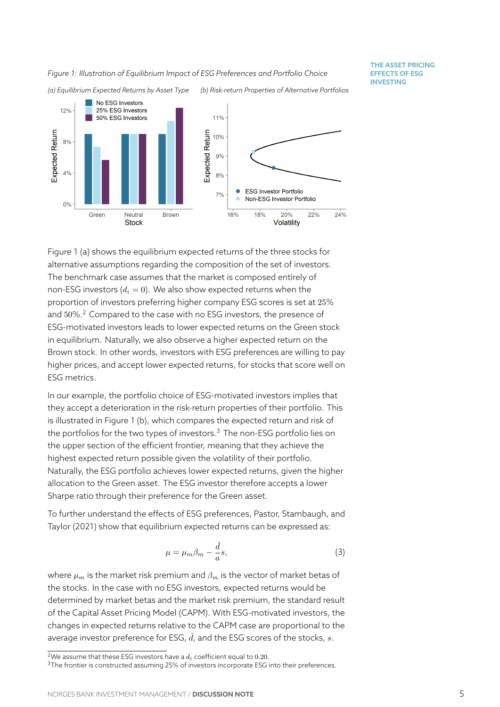<span id="page-5-0"></span>

Figure 1 (a) shows the equilibrium expected returns of the three stocks for alternative assumptions regarding the composition of the set of investors. The benchmark case assumes that the market is composed entirely of non-E[SG](#page-5-0) investors  $(d_i = 0)$ . We also show expected returns when the proportion of investors preferring higher company ESG scores is set at 25% and  $50\%$ .<sup>2</sup> Compared to the case with no ESG investors, the presence of ESG-motivated investors leads to lower expected returns on the Green stock in equilibrium. Naturally, we also observe a higher expected return on the Brown st[o](#page-5-1)ck. In other words, investors with ESG preferences are willing to pay higher prices, and accept lower expected returns, for stocks that score well on ESG metrics.

In our example, the portfolio choice of ESG-motivated investors implies that they accept a deterioration in the risk-return properties of their portfolio. This is illustrated in Figure 1 (b), which compares the expected return and risk of the portfolios for the two types of investors. $3$  The non-ESG portfolio lies on the upper section of the efficient frontier, meaning that they achieve the highest expected ret[urn](#page-5-0) possible given the volatility of their portfolio. Naturally, the ESG portfolio achieves lowere[x](#page-5-2)pected returns, given the higher allocation to the Green asset. The ESG investor therefore accepts a lower Sharpe ratio through their preference for the Green asset.

To further understand the effects of ESG preferences, Pastor, Stambaugh, and Taylor (2021) show that equilibrium expected returns can be expressed as:

$$
\mu = \mu_m \beta_m - \frac{\bar{d}}{a} s,\tag{3}
$$

[where](#page-16-1)  $\mu_m$  [is](#page-16-1) the market risk premium and  $\beta_m$  is the vector of market betas of the stocks. In the case with no ESG investors, expected returns would be determined by market betas and the market risk premium, the standard result of the Capital Asset Pricing Model (CAPM). With ESG-motivated investors, the changes in expected returns relative to the CAPM case are proportional to the average investor preference for ESG,  $\bar{d}$ , and the ESG scores of the stocks,  $s$ .

<sup>&</sup>lt;sup>2</sup>We assume that these ESG investors have a  $d_i$  coefficient equal to 0.20.

<span id="page-5-2"></span><span id="page-5-1"></span><sup>&</sup>lt;sup>3</sup>The frontier is constructed assuming 25% of investors incorporate ESG into their preferences.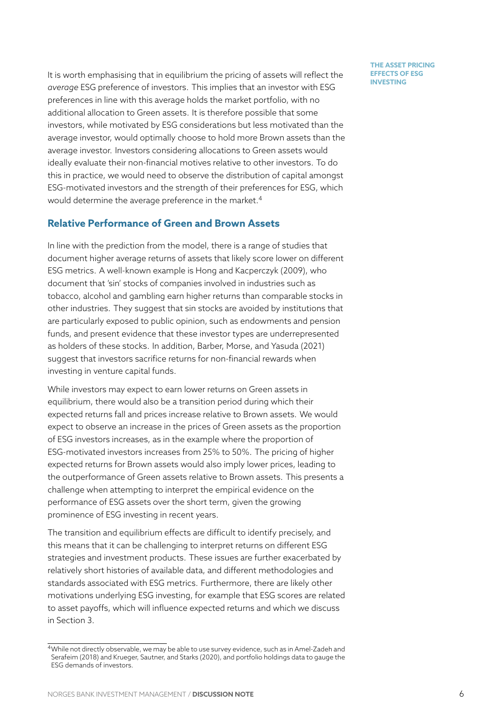It is worth emphasising that in equilibrium the pricing of assets will reflect the *average* ESG preference of investors. This implies that an investor with ESG preferences in line with this average holds the market portfolio, with no additional allocation to Green assets. It is therefore possible that some investors, while motivated by ESG considerations but less motivated than the average investor, would optimally choose to hold more Brown assets than the average investor. Investors considering allocations to Green assets would ideally evaluate their non-financial motives relative to other investors. To do this in practice, we would need to observe the distribution of capital amongst ESG-motivated investors and the strength of their preferences for ESG, which would determine the average preference in the market.<sup>4</sup>

#### **Relative Performance of Green and Brown Assets**

In line with the prediction from the model, there is a ra[ng](#page-6-0)e of studies that document higher average returns of assets that likely score lower on different ESG metrics. A well-known example is Hong and Kacperczyk (2009), who document that 'sin' stocks of companies involved in industries such as tobacco, alcohol and gambling earn higher returns than comparable stocks in other industries. They suggest that si[n stocks are avoided by institu](#page-16-0)tions that are particularly exposed to public opinion, such as endowments and pension funds, and present evidence that these investor types are underrepresented as holders of these stocks. In addition, Barber, Morse, and Yasuda (2021) suggest that investors sacrifice returns for non-financial rewards when investing in venture capital funds.

While investors may expect to earn lo[wer returns on Green assets](#page-15-1) i[n](#page-15-1) equilibrium, there would also be a transition period during which their expected returns fall and prices increase relative to Brown assets. We would expect to observe an increase in the prices of Green assets as the proportion of ESG investors increases, as in the example where the proportion of ESG-motivated investors increases from 25% to 50%. The pricing of higher expected returns for Brown assets would also imply lower prices, leading to the outperformance of Green assets relative to Brown assets. This presents a challenge when attempting to interpret the empirical evidence on the performance of ESG assets over the short term, given the growing prominence of ESG investing in recent years.

The transition and equilibrium effects are difficult to identify precisely, and this means that it can be challenging to interpret returns on different ESG strategies and investment products. These issues are further exacerbated by relatively short histories of available data, and different methodologies and standards associated with ESG metrics. Furthermore, there are likely other motivations underlying ESG investing, for example that ESG scores are related to asset payoffs, which will influence expected returns and which we discuss in Section 3.

<span id="page-6-0"></span><sup>4</sup>While not directly observable, we may be able to use survey evidence, such as in Amel-Zadeh and Serafeim (2018) and Krueger, Sautner, and Starks (2020), and portfolio holdings data to gauge the ESG deman[ds](#page-7-0) of investors.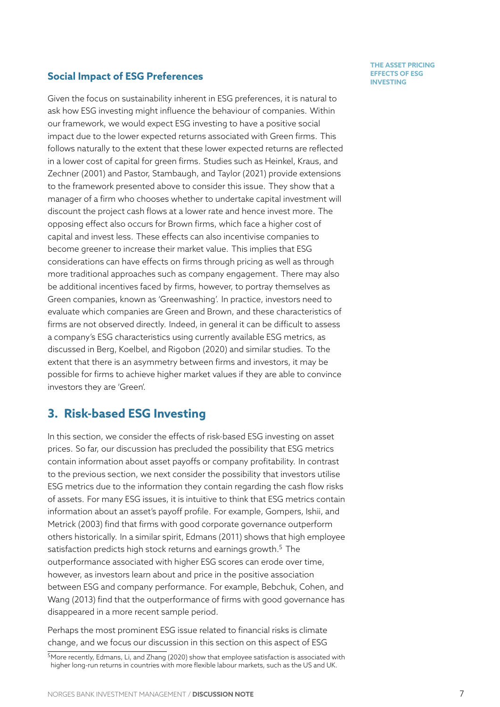# **INVESTING Social Impact of ESG Preferences**

Given the focus on sustainability inherent in ESG preferences, it is natural to ask how ESG investing might influence the behaviour of companies. Within our framework, we would expect ESG investing to have a positive social impact due to the lower expected returns associated with Green firms. This follows naturally to the extent that these lower expected returns are reflected in a lower cost of capital for green firms. Studies such as Heinkel, Kraus, and Zechner (2001) and Pastor, Stambaugh, and Taylor (2021) provide extensions to the framework presented above to consider this issue. They show that a manager of a firm who chooses whether to undertake c[apital investment wil](#page-16-4)l [discount the pr](#page-16-4)ojec[t cash flows at a lower rate and hence](#page-16-1) invest more. The opposing effect also occurs for Brown firms, which face a higher cost of capital and invest less. These effects can also incentivise companies to become greener to increase their market value. This implies that ESG considerations can have effects on firms through pricing as well as through more traditional approaches such as company engagement. There may also be additional incentives faced by firms, however, to portray themselves as Green companies, known as 'Greenwashing'. In practice, investors need to evaluate which companies are Green and Brown, and these characteristics of firms are not observed directly. Indeed, in general it can be difficult to assess a company's ESG characteristics using currently available ESG metrics, as discussed in Berg, Koelbel, and Rigobon (2020) and similar studies. To the extent that there is an asymmetry between firms and investors, it may be possible for firms to achieve higher market values if they are able to convince investors th[ey are 'Green'.](#page-15-3)

# **3. Risk-based ESG Investing**

<span id="page-7-0"></span>In this section, we consider the effects of risk-based ESG investing on asset prices. So far, our discussion has precluded the possibility that ESG metrics contain information about asset payoffs or company profitability. In contrast to the previous section, we next consider the possibility that investors utilise ESG metrics due to the information they contain regarding the cash flow risks of assets. For many ESG issues, it is intuitive to think that ESG metrics contain information about an asset's payoff profile. For example, Gompers, Ishii, and Metrick (2003) find that firms with good corporate governance outperform others historically. In a similar spirit, Edmans (2011) shows that high employee satisfaction predicts high stock returns and earnings growth.<sup>5</sup> [The](#page-15-4) [outperforman](#page-15-4)ce associated with higher ESG scores can erode over time, however, as investors learn about a[nd price i](#page-15-5)n [the p](#page-15-5)ositive association between ESG and company performance. For example, Beb[ch](#page-7-1)uk, Cohen, and Wang (2013) find that the outperformance of firms with good governance has disappeared in a more recent sample period.

Perhaps the most prominent ESG issue related to finan[cial risks is climate](#page-15-6) [change, and](#page-15-6) we focus our discussion in this section on this aspect of ESG

#### **THE ASSET PRICING EFFECTS OF ESG**

<span id="page-7-1"></span><sup>&</sup>lt;sup>5</sup>More recently, Edmans, Li, and Zhang (2020) show that employee satisfaction is associated with higher long-run returns in countries with more flexible labour markets, such as the US and UK.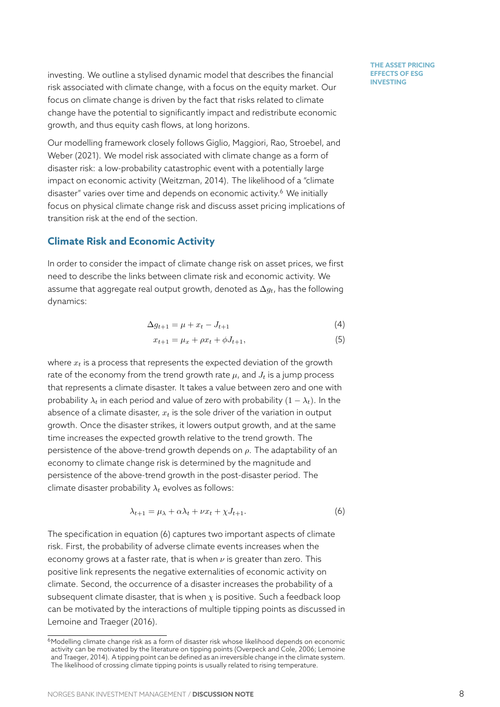investing. We outline a stylised dynamic model that describes the financial risk associated with climate change, with a focus on the equity market. Our focus on climate change is driven by the fact that risks related to climate change have the potential to significantly impact and redistribute economic growth, and thus equity cash flows, at long horizons.

Our modelling framework closely follows Giglio, Maggiori, Rao, Stroebel, and Weber (2021). We model risk associated with climate change as a form of disaster risk: a low-probability catastrophic event with a potentially large impact on economic activity (Weitzman, [2014\). The likelihood of a "climate](#page-15-8) [disaster" vari](#page-15-8)es over time and depends on economic activity.<sup>6</sup> We initially focus on physical climate change risk and discuss asset pricing implications of transition risk at the end of th[e section.](#page-16-5)

#### **Climate Risk and Economic Activity**

In order to consider the impact of climate change risk on asset prices, we first need to describe the links between climate risk and economic activity. We assume that aggregate real output growth, denoted as ∆*gt*, has the following dynamics:

$$
\Delta g_{t+1} = \mu + x_t - J_{t+1} \tag{4}
$$

$$
x_{t+1} = \mu_x + \rho x_t + \phi J_{t+1},\tag{5}
$$

where *x<sup>t</sup>* is a process that represents the expected deviation of the growth rate of the economy from the trend growth rate  $\mu$ , and  $J_t$  is a jump process that represents a climate disaster. It takes a value between zero and one with probability  $\lambda_t$  in each period and value of zero with probability  $(1 - \lambda_t)$ . In the absence of a climate disaster, *x<sup>t</sup>* is the sole driver of the variation in output growth. Once the disaster strikes, it lowers output growth, and at the same time increases the expected growth relative to the trend growth. The persistence of the above-trend growth depends on *ρ*. The adaptability of an economy to climate change risk is determined by the magnitude and persistence of the above-trend growth in the post-disaster period. The climate disaster probability *λ<sup>t</sup>* evolves as follows:

<span id="page-8-0"></span>
$$
\lambda_{t+1} = \mu_{\lambda} + \alpha \lambda_t + \nu x_t + \chi J_{t+1}.
$$
 (6)

The specification in equation (6) captures two important aspects of climate risk. First, the probability of adverse climate events increases when the economy grows at a faster rate, that is when *ν* is greater than zero. This positive link represents the ne[ga](#page-8-0)tive externalities of economic activity on climate. Second, the occurrence of a disaster increases the probability of a subsequent climate disaster, that is when  $\chi$  is positive. Such a feedback loop can be motivated by the interactions of multiple tipping points as discussed in Lemoine and Traeger (2016).

<sup>&</sup>lt;sup>6</sup>Modelling climate change risk as a form of disaster risk whose likelihood depends on economic activity can be motivated by the literature on tipping points (Overpeck and Cole, 2006; Lemoine and Traeger, 2014). A tipping point can be defined as an irreversible change in the climate system. [The likelihood of crossing climate](#page-16-6) tipping points is usually related to rising temperature.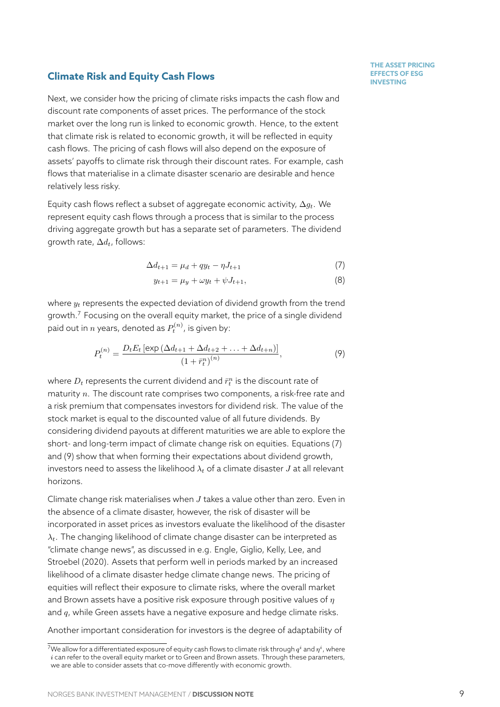### **INVESTING Climate Risk and Equity Cash Flows Climate Risk and Equity Cash Flows**

relatively less risky.

Next, we consider how the pricing of climate risks impacts the cash flow and discount rate components of asset prices. The performance of the stock market over the long run is linked to economic growth. Hence, to the extent that climate risk is related to economic growth, it will be reflected in equity cash flows. The pricing of cash flows will also depend on the exposure of assets' payoffs to climate risk through their discount rates. For example, cash flows that materialise in a climate disaster scenario are desirable and hence

Equity cash flows reflect a subset of aggregate economic activity, ∆*gt*. We represent equity cash flows through a process that is similar to the process driving aggregate growth but has a separate set of parameters. The dividend growth rate, ∆*dt*, follows:

$$
\Delta d_{t+1} = \mu_d + qy_t - \eta J_{t+1} \tag{7}
$$

$$
y_{t+1} = \mu_y + \omega y_t + \psi J_{t+1},
$$
\n(8)

where *y<sup>t</sup>* represents the expected deviation of dividend growth from the trend growth.<sup>7</sup> Focusing on the overall equity market, the price of a single dividend paid out in  $n$  years, denoted as  $P_t^{(n)}$ , is given by:

<span id="page-9-0"></span>
$$
P_t^{(n)} = \frac{D_t E_t \left[ \exp \left( \Delta d_{t+1} + \Delta d_{t+2} + \dots + \Delta d_{t+n} \right) \right]}{\left( 1 + \bar{r}_t^n \right)^{(n)}},\tag{9}
$$

where  $D_t$  represents the current dividend and  $\bar{r}^n_t$  is the discount rate of maturity *n*. The discount rate comprises two components, a risk-free rate and a risk premium that compensates investors for dividend risk. The value of the stock market is equal to the discounted value of all future dividends. By considering dividend payouts at different maturities we are able to explore the short- and long-term impact of climate change risk on equities. Equations (7) and (9) show that when forming their expectations about dividend growth, investors need to assess the likelihood  $\lambda_t$  of a climate disaster *J* at all relevant horizons.

Clim[at](#page-9-0)e change risk materialises when *J* takes a value other than zero. Even in the absence of a climate disaster, however, the risk of disaster will be incorporated in asset prices as investors evaluate the likelihood of the disaster *λt*. The changing likelihood of climate change disaster can be interpreted as "climate change news", as discussed in e.g. Engle, Giglio, Kelly, Lee, and Stroebel (2020). Assets that perform well in periods marked by an increased likelihood of a climate disaster hedge climate change news. The pricing of equities will reflect their exposure to climat[e risks, where the overall mar](#page-15-9)ket [and Brown asse](#page-15-9)ts have a positive risk exposure through positive values of *η* and *q*, while Green assets have a negative exposure and hedge climate risks.

Another important consideration for investors is the degree of adaptability of

 $^7$ We allow for a differentiated exposure of equity cash flows to climate risk through  $q^i$  and  $\eta^i$  , where *i* can refer to the overall equity market or to Green and Brown assets. Through these parameters, we are able to consider assets that co-move differently with economic growth.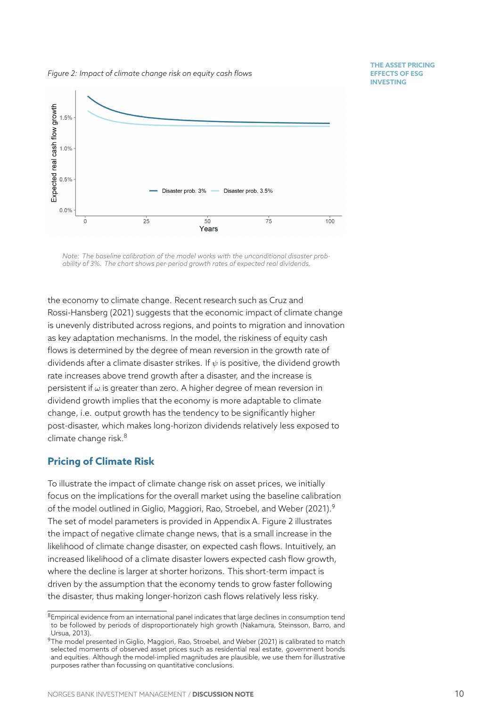**THE ASSET PRICING EFFECTS OF ESG INVESTING**

<span id="page-10-2"></span>

*Note: The baseline calibration of the model works with the unconditional disaster probability of 3%. The chart shows per-period growth rates of expected real dividends.*

the economy to climate change. Recent research such as Cruz and Rossi-Hansberg (2021) suggests that the economic impact of climate change is unevenly distributed across regions, and points to migration and innovation as key adaptation mechanisms. In the model, the riskines[s of equit](#page-15-10)y cash [flows is determined by](#page-15-10) the degree of mean reversion in the growth rate of dividends after a climate disaster strikes. If *ψ* is positive, the dividend growth rate increases above trend growth after a disaster, and the increase is persistent if *ω* is greater than zero. A higher degree of mean reversion in dividend growth implies that the economy is more adaptable to climate change, i.e. output growth has the tendency to be significantly higher post-disaster, which makes long-horizon dividends relatively less exposed to climate change risk. $8$ 

#### **Pricing of Climate Risk**

To illustrate the im[pa](#page-10-0)ct of climate change risk on asset prices, we initially focus on the implications for the overall market using the baseline calibration of the model outlined in Giglio, Maggiori, Rao, Stroebel, and Weber (2021).<sup>9</sup> The set of model parameters is provided in Appendix A. Figure 2 illustrates the impact of negative climate change news, that is a small increase in the likelihood of climate cha[nge disaster, on expected cash flows. Intuit](#page-15-8)i[vely,](#page-15-8)[a](#page-15-8)[n](#page-10-1) increased likelihood of a climate disaster lowers expe[cte](#page-17-0)d cash [flo](#page-10-2)w growth, where the decline is larger at shorter horizons. This short-term impact is driven by the assumption that the economy tends to grow faster following the disaster, thus making longer-horizon cash flows relatively less risky.

<sup>8</sup>Empirical evidence from an international panel indicates that large declines in consumption tend to be followed by periods of disproportionately high growth (Nakamura, Steinsson, Barro, and Ursua, 2013).

<span id="page-10-1"></span><span id="page-10-0"></span> $9$ The model presented in Giglio, Maggiori, Rao, Stroebel, and Weber (2021) is calibrated to match selected moments of observed asset prices such as residential real estate, government bonds and equities. Although the model-implied magnitudes are plausible, we use them for illustrative purposes rather than focussing on quantitative conclusions.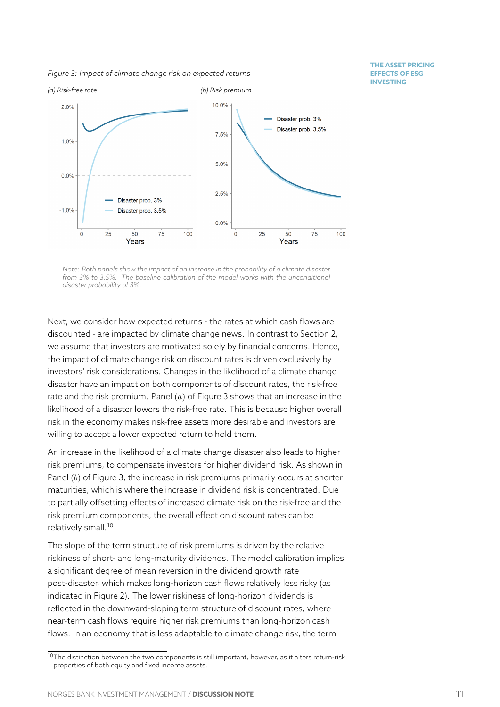*Figure 3: Impact of climate change risk on expected returns*

**THE ASSET PRICING EFFECTS OF ESG INVESTING**

<span id="page-11-0"></span>

*Note: Both panels show the impact of an increase in the probability of a climate disaster from 3% to 3.5%. The baseline calibration of the model works with the unconditional disaster probability of 3%.*

Next, we consider how expected returns - the rates at which cash flows are discounted - are impacted by climate change news. In contrast to Section 2, we assume that investors are motivated solely by financial concerns. Hence, the impact of climate change risk on discount rates is driven exclusively by investors' risk considerations. Changes in the likelihood of a climate chan[ge](#page-3-0) disaster have an impact on both components of discount rates, the risk-free rate and the risk premium. Panel (*a*) of Figure 3 shows that an increase in the likelihood of a disaster lowers the risk-free rate. This is because higher overall risk in the economy makes risk-free assets more desirable and investors are willing to accept a lower expected return to h[old](#page-11-0) them.

An increase in the likelihood of a climate change disaster also leads to higher risk premiums, to compensate investors for higher dividend risk. As shown in Panel (*b*) of Figure 3, the increase in risk premiums primarily occurs at shorter maturities, which is where the increase in dividend risk is concentrated. Due to partially offsetting effects of increased climate risk on the risk-free and the risk premium com[po](#page-11-0)nents, the overall effect on discount rates can be relatively small.<sup>10</sup>

The slope of the term structure of risk premiums is driven by the relative riskiness of short- and long-maturity dividends. The model calibration implies a significant de[gre](#page-11-1)e of mean reversion in the dividend growth rate post-disaster, which makes long-horizon cash flows relatively less risky (as indicated in Figure 2). The lower riskiness of long-horizon dividends is reflected in the downward-sloping term structure of discount rates, where near-term cash flows require higher risk premiums than long-horizon cash flows. In an econo[m](#page-10-2)y that is less adaptable to climate change risk, the term

<span id="page-11-1"></span> $10$ The distinction between the two components is still important, however, as it alters return-risk properties of both equity and fixed income assets.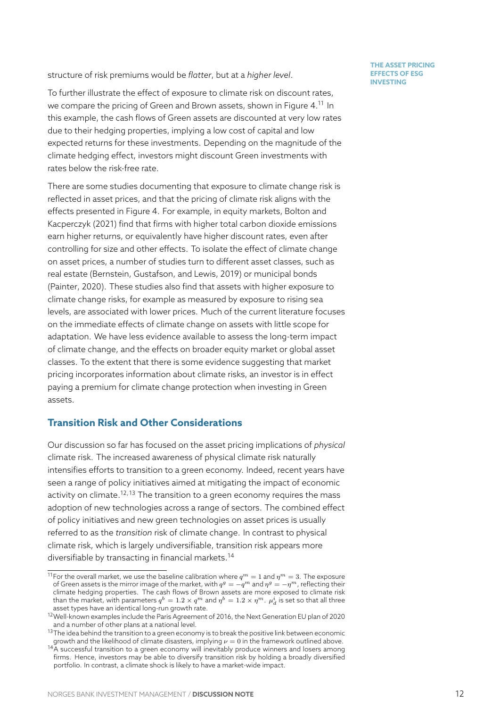structure of risk premiums would be *flatter*, but at a *higher level*.

To further illustrate the effect of exposure to climate risk on discount rates, we compare the pricing of Green and Brown assets, shown in Figure 4. <sup>11</sup> In this example, the cash flows of Green assets are discounted at very low rates due to their hedging properties, implying a low cost of capital and low expected returns for these investments. Depending on the magnitu[de](#page-13-0) [of](#page-12-0) the climate hedging effect, investors might discount Green investments with rates below the risk-free rate.

There are some studies documenting that exposure to climate change risk is reflected in asset prices, and that the pricing of climate risk aligns with the effects presented in Figure 4. For example, in equity markets, Bolton and Kacperczyk (2021) find that firms with higher total carbon dioxide emissions earn higher returns, or equivalently have higher discount rates, even after controlling for size and oth[er](#page-13-0) effects. To isolate the effect of c[limate chan](#page-15-11)ge [on asset prices, a](#page-15-11) number of studies turn to different asset classes, such as real estate (Bernstein, Gustafson, and Lewis, 2019) or municipal bonds (Painter, 2020). These studies also find that assets with higher exposure to climate change risks, for example as measured by exposure to rising sea levels, area[ssociated with lower prices. Much of th](#page-15-12)e current literature focuses [on the immed](#page-16-9)iate effects of climate change on assets with little scope for adaptation. We have less evidence available to assess the long-term impact of climate change, and the effects on broader equity market or global asset classes. To the extent that there is some evidence suggesting that market pricing incorporates information about climate risks, an investor is in effect paying a premium for climate change protection when investing in Green assets.

#### **Transition Risk and Other Considerations**

Our discussion so far has focused on the asset pricing implications of *physical* climate risk. The increased awareness of physical climate risk naturally intensifies efforts to transition to a green economy. Indeed, recent years have seen a range of policy initiatives aimed at mitigating the impact of economic activity on climate.<sup>12,13</sup> The transition to a green economy requires the mass adoption of new technologies across a range of sectors. The combined effect of policy initiatives and new green technologies on asset prices is usually referred to as the *t[ra](#page-12-1)[ns](#page-12-2)ition* risk of climate change. In contrast to physical climate risk, which is largely undiversifiable, transition risk appears more diversifiable by transacting in financial markets.<sup>14</sup>

<sup>&</sup>lt;sup>11</sup>For the overall market, we use the baseline calibration where  $q^m = 1$  and  $\eta^m = 3$ . The exposure of Green assets is the mirror image of the market, with  $q^g = -q^m$  and  $\eta^g = -\eta^m$ , reflecting their climate hedging properties. The cash flows of Brown assets are more exposed to climate risk than the market, with parameters  $q^b = 1.2 \times q^m$  $q^b = 1.2 \times q^m$  $q^b = 1.2 \times q^m$  and  $\eta^b = 1.2 \times \eta^m$ .  $\mu_d^i$  is set so that all three asset types have an identical long-run growth rate.

<span id="page-12-0"></span> $12$ Well-known examples include the Paris Agreement of 2016, the Next Generation EU plan of 2020 and a number of other plans at a national level.

 $^{13}$ The idea behind the transition to a green economy is to break the positive link between economic growth and the likelihood of climate disasters, implying *ν* = 0 in the framework outlined above.

<span id="page-12-3"></span><span id="page-12-2"></span><span id="page-12-1"></span> $14A$  successful transition to a green economy will inevitably produce winners and losers among firms. Hence, investors may be able to diversify transition risk by holding a broadly diversified portfolio. In contrast, a climate shock is likely to have a market-wide impact.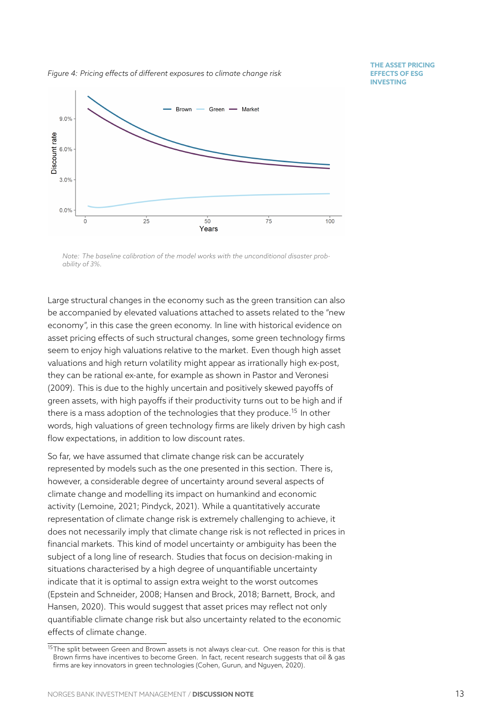<span id="page-13-0"></span>

*Note: The baseline calibration of the model works with the unconditional disaster probability of 3%.*

Large structural changes in the economy such as the green transition can also be accompanied by elevated valuations attached to assets related to the "new economy", in this case the green economy. In line with historical evidence on asset pricing effects of such structural changes, some green technology firms seem to enjoy high valuations relative to the market. Even though high asset valuations and high return volatility might appear as irrationally high ex-post, they can be rational ex-ante, for example as shown in Pastor and Veronesi (2009). This is due to the highly uncertain and positively skewed payoffs of green assets, with high payoffs if their productivity turns out to be high and if there is a mass adoption of the technologies that the[y produce.](#page-16-10)<sup>15</sup> In other [words](#page-16-10), high valuations of green technology firms are likely driven by high cash flow expectations, in addition to low discount rates.

So far, we have assumed that climate change risk can be accura[te](#page-13-1)ly represented by models such as the one presented in this section. There is, however, a considerable degree of uncertainty around several aspects of climate change and modelling its impact on humankind and economic activity (Lemoine, 2021; Pindyck, 2021). While a quantitatively accurate representation of climate change risk is extremely challenging to achieve, it does not necessarily imply that climate change risk is not reflected in prices in financial [markets. This k](#page-16-11)i[nd of model u](#page-16-12)ncertainty or ambiguity has been the subject of a long line of research. Studies that focus on decision-making in situations characterised by a high degree of unquantifiable uncertainty indicate that it is optimal to assign extra weight to the worst outcomes (Epstein and Schneider, 2008; Hansen and Brock, 2018; Barnett, Brock, and Hansen, 2020). This would suggest that asset prices may reflect not only quantifiable climate change risk but also uncertainty related to the economic [effects of climate change.](#page-15-13)

<span id="page-13-1"></span><sup>&</sup>lt;sup>15</sup>[The spli](#page-15-14)t [betwe](#page-15-14)en Green and Brown assets is not always clear-cut. One reason for this is that Brown firms have incentives to become Green. In fact, recent research suggests that oil & gas firms are key innovators in green technologies (Cohen, Gurun, and Nguyen, 2020).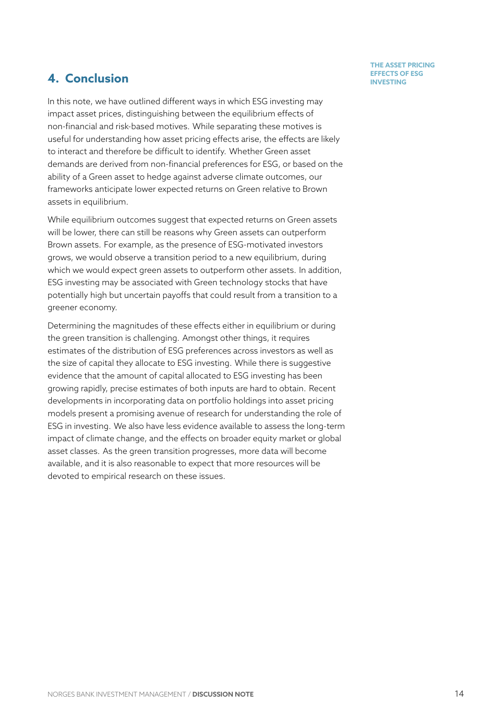# **THE ASSET PRICING**

# **4. Conclusion Investing**

In this note, we have outlined different ways in which ESG investing may impact asset prices, distinguishing between the equilibrium effects of non-financial and risk-based motives. While separating these motives is useful for understanding how asset pricing effects arise, the effects are likely to interact and therefore be difficult to identify. Whether Green asset demands are derived from non-financial preferences for ESG, or based on the ability of a Green asset to hedge against adverse climate outcomes, our frameworks anticipate lower expected returns on Green relative to Brown assets in equilibrium.

While equilibrium outcomes suggest that expected returns on Green assets will be lower, there can still be reasons why Green assets can outperform Brown assets. For example, as the presence of ESG-motivated investors grows, we would observe a transition period to a new equilibrium, during which we would expect green assets to outperform other assets. In addition, ESG investing may be associated with Green technology stocks that have potentially high but uncertain payoffs that could result from a transition to a greener economy.

Determining the magnitudes of these effects either in equilibrium or during the green transition is challenging. Amongst other things, it requires estimates of the distribution of ESG preferences across investors as well as the size of capital they allocate to ESG investing. While there is suggestive evidence that the amount of capital allocated to ESG investing has been growing rapidly, precise estimates of both inputs are hard to obtain. Recent developments in incorporating data on portfolio holdings into asset pricing models present a promising avenue of research for understanding the role of ESG in investing. We also have less evidence available to assess the long-term impact of climate change, and the effects on broader equity market or global asset classes. As the green transition progresses, more data will become available, and it is also reasonable to expect that more resources will be devoted to empirical research on these issues.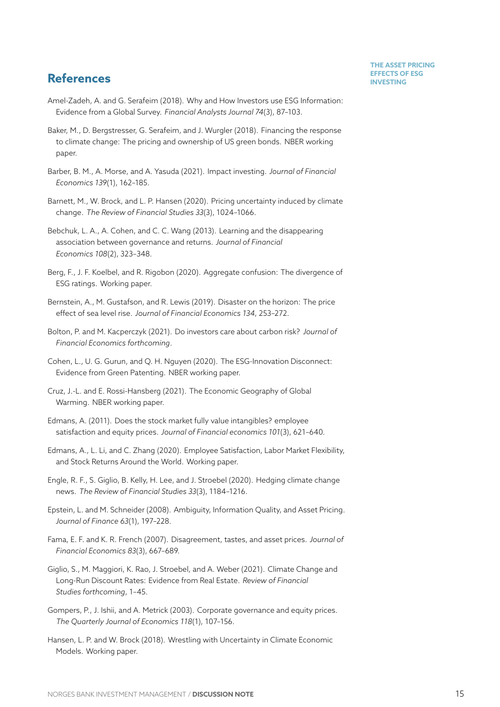# **References INVESTING**

- <span id="page-15-2"></span>Amel-Zadeh, A. and G. Serafeim (2018). Why and How Investors use ESG Information: Evidence from a Global Survey. *Financial Analysts Journal 74*(3), 87–103.
- Baker, M., D. Bergstresser, G. Serafeim, and J. Wurgler (2018). Financing the response to climate change: The pricing and ownership of US green bonds. NBER working paper.
- <span id="page-15-1"></span>Barber, B. M., A. Morse, and A. Yasuda (2021). Impact investing. *Journal of Financial Economics 139*(1), 162–185.
- <span id="page-15-14"></span>Barnett, M., W. Brock, and L. P. Hansen (2020). Pricing uncertainty induced by climate change. *The Review of Financial Studies 33*(3), 1024–1066.
- <span id="page-15-6"></span>Bebchuk, L. A., A. Cohen, and C. C. Wang (2013). Learning and the disappearing association between governance and returns. *Journal of Financial Economics 108*(2), 323–348.
- <span id="page-15-3"></span>Berg, F., J. F. Koelbel, and R. Rigobon (2020). Aggregate confusion: The divergence of ESG ratings. Working paper.
- <span id="page-15-12"></span>Bernstein, A., M. Gustafson, and R. Lewis (2019). Disaster on the horizon: The price effect of sea level rise. *Journal of Financial Economics 134*, 253–272.
- <span id="page-15-11"></span>Bolton, P. and M. Kacperczyk (2021). Do investors care about carbon risk? *Journal of Financial Economics forthcoming*.
- Cohen, L., U. G. Gurun, and Q. H. Nguyen (2020). The ESG-Innovation Disconnect: Evidence from Green Patenting. NBER working paper.
- <span id="page-15-10"></span>Cruz, J.-L. and E. Rossi-Hansberg (2021). The Economic Geography of Global Warming. NBER working paper.
- <span id="page-15-5"></span>Edmans, A. (2011). Does the stock market fully value intangibles? employee satisfaction and equity prices. *Journal of Financial economics 101*(3), 621–640.
- <span id="page-15-7"></span>Edmans, A., L. Li, and C. Zhang (2020). Employee Satisfaction, Labor Market Flexibility, and Stock Returns Around the World. Working paper.
- <span id="page-15-9"></span>Engle, R. F., S. Giglio, B. Kelly, H. Lee, and J. Stroebel (2020). Hedging climate change news. *The Review of Financial Studies 33*(3), 1184–1216.
- <span id="page-15-13"></span>Epstein, L. and M. Schneider (2008). Ambiguity, Information Quality, and Asset Pricing. *Journal of Finance 63*(1), 197–228.
- <span id="page-15-0"></span>Fama, E. F. and K. R. French (2007). Disagreement, tastes, and asset prices. *Journal of Financial Economics 83*(3), 667–689.
- <span id="page-15-8"></span>Giglio, S., M. Maggiori, K. Rao, J. Stroebel, and A. Weber (2021). Climate Change and Long-Run Discount Rates: Evidence from Real Estate. *Review of Financial Studies forthcoming*, 1–45.
- <span id="page-15-4"></span>Gompers, P., J. Ishii, and A. Metrick (2003). Corporate governance and equity prices. *The Quarterly Journal of Economics 118*(1), 107–156.
- Hansen, L. P. and W. Brock (2018). Wrestling with Uncertainty in Climate Economic Models. Working paper.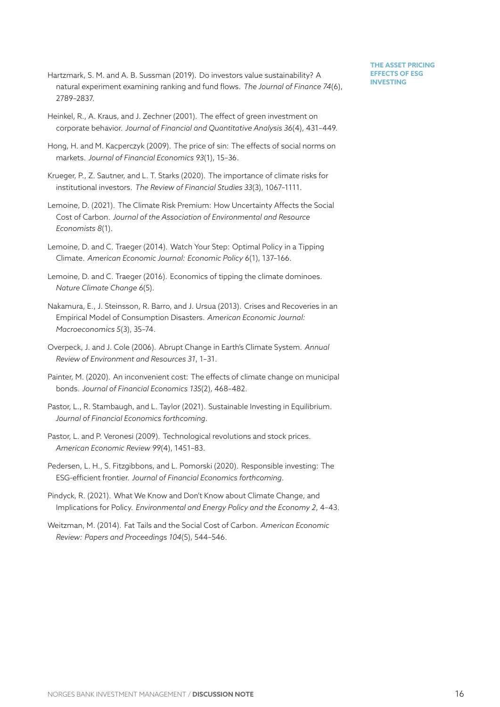- Hartzmark, S. M. and A. B. Sussman (2019). Do investors value sustainability? A natural experiment examining ranking and fund flows. *The Journal of Finance 74*(6), 2789–2837.
- <span id="page-16-4"></span>Heinkel, R., A. Kraus, and J. Zechner (2001). The effect of green investment on corporate behavior. *Journal of Financial and Quantitative Analysis 36*(4), 431–449.
- <span id="page-16-0"></span>Hong, H. and M. Kacperczyk (2009). The price of sin: The effects of social norms on markets. *Journal of Financial Economics 93*(1), 15–36.
- <span id="page-16-3"></span>Krueger, P., Z. Sautner, and L. T. Starks (2020). The importance of climate risks for institutional investors. *The Review of Financial Studies 33*(3), 1067–1111.
- <span id="page-16-11"></span>Lemoine, D. (2021). The Climate Risk Premium: How Uncertainty Affects the Social Cost of Carbon. *Journal of the Association of Environmental and Resource Economists 8*(1).
- <span id="page-16-8"></span>Lemoine, D. and C. Traeger (2014). Watch Your Step: Optimal Policy in a Tipping Climate. *American Economic Journal: Economic Policy 6*(1), 137–166.
- <span id="page-16-6"></span>Lemoine, D. and C. Traeger (2016). Economics of tipping the climate dominoes. *Nature Climate Change 6*(5).
- Nakamura, E., J. Steinsson, R. Barro, and J. Ursua (2013). Crises and Recoveries in an Empirical Model of Consumption Disasters. *American Economic Journal: Macroeconomics 5*(3), 35–74.
- <span id="page-16-7"></span>Overpeck, J. and J. Cole (2006). Abrupt Change in Earth's Climate System. *Annual Review of Environment and Resources 31*, 1–31.
- <span id="page-16-9"></span>Painter, M. (2020). An inconvenient cost: The effects of climate change on municipal bonds. *Journal of Financial Economics 135*(2), 468–482.
- <span id="page-16-1"></span>Pastor, L., R. Stambaugh, and L. Taylor (2021). Sustainable Investing in Equilibrium. *Journal of Financial Economics forthcoming*.
- <span id="page-16-10"></span>Pastor, L. and P. Veronesi (2009). Technological revolutions and stock prices. *American Economic Review 99*(4), 1451–83.
- <span id="page-16-2"></span>Pedersen, L. H., S. Fitzgibbons, and L. Pomorski (2020). Responsible investing: The ESG-efficient frontier. *Journal of Financial Economics forthcoming*.
- <span id="page-16-12"></span>Pindyck, R. (2021). What We Know and Don't Know about Climate Change, and Implications for Policy. *Environmental and Energy Policy and the Economy 2*, 4–43.
- <span id="page-16-5"></span>Weitzman, M. (2014). Fat Tails and the Social Cost of Carbon. *American Economic Review: Papers and Proceedings 104*(5), 544–546.